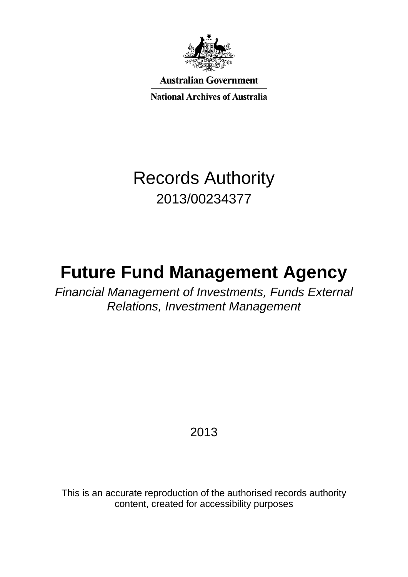

**Australian Government** 

**National Archives of Australia** 

# Records Authority 2013/00234377

# **Future Fund Management Agency**

*Financial Management of Investments, Funds External Relations, Investment Management*

2013

This is an accurate reproduction of the authorised records authority content, created for accessibility purposes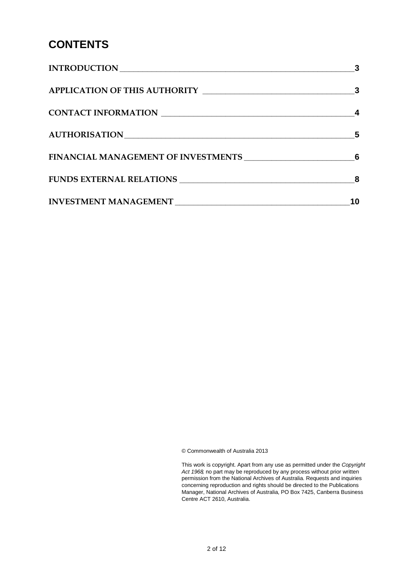# **CONTENTS**

|                     | 3  |
|---------------------|----|
|                     |    |
| CONTACT INFORMATION |    |
|                     | 5  |
|                     |    |
|                     | 8  |
|                     | 10 |

© Commonwealth of Australia 2013

This work is copyright. Apart from any use as permitted under the *Copyright Act 1968,* no part may be reproduced by any process without prior written permission from the National Archives of Australia. Requests and inquiries concerning reproduction and rights should be directed to the Publications Manager, National Archives of Australia, PO Box 7425, Canberra Business Centre ACT 2610, Australia.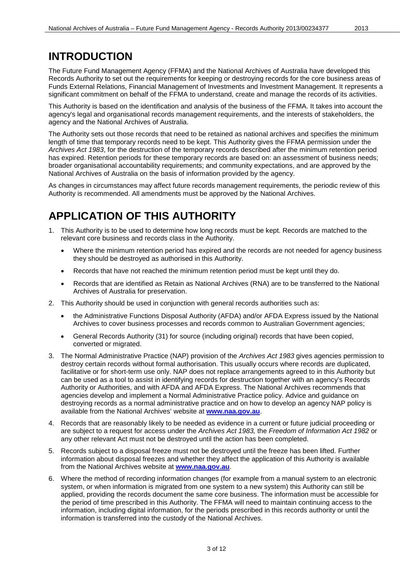## <span id="page-2-0"></span>**INTRODUCTION**

The Future Fund Management Agency (FFMA) and the National Archives of Australia have developed this Records Authority to set out the requirements for keeping or destroying records for the core business areas of Funds External Relations, Financial Management of Investments and Investment Management. It represents a significant commitment on behalf of the FFMA to understand, create and manage the records of its activities.

This Authority is based on the identification and analysis of the business of the FFMA. It takes into account the agency's legal and organisational records management requirements, and the interests of stakeholders, the agency and the National Archives of Australia.

The Authority sets out those records that need to be retained as national archives and specifies the minimum length of time that temporary records need to be kept. This Authority gives the FFMA permission under the *Archives Act 1983*, for the destruction of the temporary records described after the minimum retention period has expired. Retention periods for these temporary records are based on: an assessment of business needs; broader organisational accountability requirements; and community expectations, and are approved by the National Archives of Australia on the basis of information provided by the agency.

As changes in circumstances may affect future records management requirements, the periodic review of this Authority is recommended. All amendments must be approved by the National Archives.

# <span id="page-2-1"></span>**APPLICATION OF THIS AUTHORITY**

- 1. This Authority is to be used to determine how long records must be kept. Records are matched to the relevant core business and records class in the Authority.
	- Where the minimum retention period has expired and the records are not needed for agency business they should be destroyed as authorised in this Authority.
	- Records that have not reached the minimum retention period must be kept until they do.
	- Records that are identified as Retain as National Archives (RNA) are to be transferred to the National Archives of Australia for preservation.
- 2. This Authority should be used in conjunction with general records authorities such as:
	- the Administrative Functions Disposal Authority (AFDA) and/or AFDA Express issued by the National Archives to cover business processes and records common to Australian Government agencies;
	- General Records Authority (31) for source (including original) records that have been copied, converted or migrated.
- 3. The Normal Administrative Practice (NAP) provision of the *Archives Act 1983* gives agencies permission to destroy certain records without formal authorisation. This usually occurs where records are duplicated, facilitative or for short-term use only. NAP does not replace arrangements agreed to in this Authority but can be used as a tool to assist in identifying records for destruction together with an agency's Records Authority or Authorities, and with AFDA and AFDA Express. The National Archives recommends that agencies develop and implement a Normal Administrative Practice policy. Advice and guidance on destroying records as a normal administrative practice and on how to develop an agency NAP policy is available from the National Archives' website at **[www.naa.gov.au](http://www.naa.gov.au/)**.
- 4. Records that are reasonably likely to be needed as evidence in a current or future judicial proceeding or are subject to a request for access under the *Archives Act 1983,* the *Freedom of Information Act 1982* or any other relevant Act must not be destroyed until the action has been completed.
- 5. Records subject to a disposal freeze must not be destroyed until the freeze has been lifted. Further information about disposal freezes and whether they affect the application of this Authority is available from the National Archives website at **[www.naa.gov.au](http://www.naa.gov.au/)**.
- 6. Where the method of recording information changes (for example from a manual system to an electronic system, or when information is migrated from one system to a new system) this Authority can still be applied, providing the records document the same core business. The information must be accessible for the period of time prescribed in this Authority. The FFMA will need to maintain continuing access to the information, including digital information, for the periods prescribed in this records authority or until the information is transferred into the custody of the National Archives.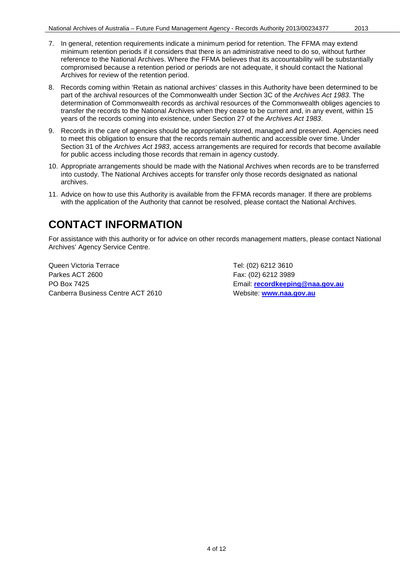- 7. In general, retention requirements indicate a minimum period for retention. The FFMA may extend minimum retention periods if it considers that there is an administrative need to do so, without further reference to the National Archives. Where the FFMA believes that its accountability will be substantially compromised because a retention period or periods are not adequate, it should contact the National Archives for review of the retention period.
- 8. Records coming within 'Retain as national archives' classes in this Authority have been determined to be part of the archival resources of the Commonwealth under Section 3C of the *Archives Act 1983*. The determination of Commonwealth records as archival resources of the Commonwealth obliges agencies to transfer the records to the National Archives when they cease to be current and, in any event, within 15 years of the records coming into existence, under Section 27 of the *Archives Act 1983*.
- 9. Records in the care of agencies should be appropriately stored, managed and preserved. Agencies need to meet this obligation to ensure that the records remain authentic and accessible over time. Under Section 31 of the *Archives Act 1983*, access arrangements are required for records that become available for public access including those records that remain in agency custody.
- 10. Appropriate arrangements should be made with the National Archives when records are to be transferred into custody. The National Archives accepts for transfer only those records designated as national archives.
- 11. Advice on how to use this Authority is available from the FFMA records manager. If there are problems with the application of the Authority that cannot be resolved, please contact the National Archives.

## <span id="page-3-0"></span>**CONTACT INFORMATION**

For assistance with this authority or for advice on other records management matters, please contact National Archives' Agency Service Centre.

Queen Victoria Terrace Tel: (02) 6212 3610 Parkes ACT 2600 Farkes ACT 2600 PO Box 7425 Email: **[recordkeeping@naa.gov.au](mailto:recordkeeping@naa.gov.au)** Canberra Business Centre ACT 2610 Website: **[www.naa.gov.au](http://www.naa.gov.au/)**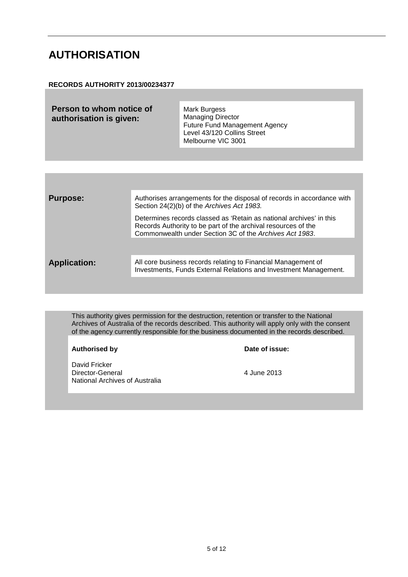### <span id="page-4-0"></span>**AUTHORISATION**

#### **RECORDS AUTHORITY 2013/00234377**

| Person to whom notice of<br>authorisation is given: | Mark Burgess<br><b>Managing Director</b><br><b>Future Fund Management Agency</b><br>Level 43/120 Collins Street<br>Melbourne VIC 3001 |
|-----------------------------------------------------|---------------------------------------------------------------------------------------------------------------------------------------|
|                                                     |                                                                                                                                       |

| <b>Purpose:</b>     | Authorises arrangements for the disposal of records in accordance with<br>Section 24(2)(b) of the Archives Act 1983.                                                                            |
|---------------------|-------------------------------------------------------------------------------------------------------------------------------------------------------------------------------------------------|
|                     | Determines records classed as 'Retain as national archives' in this<br>Records Authority to be part of the archival resources of the<br>Commonwealth under Section 3C of the Archives Act 1983. |
| <b>Application:</b> | All core business records relating to Financial Management of                                                                                                                                   |
|                     | Investments, Funds External Relations and Investment Management.                                                                                                                                |
|                     |                                                                                                                                                                                                 |

This authority gives permission for the destruction, retention or transfer to the National Archives of Australia of the records described. This authority will apply only with the consent of the agency currently responsible for the business documented in the records described.

#### **Authorised by**

David Fricker Director-General 2013 National Archives of Australia

| Date of issue: |  |
|----------------|--|
|----------------|--|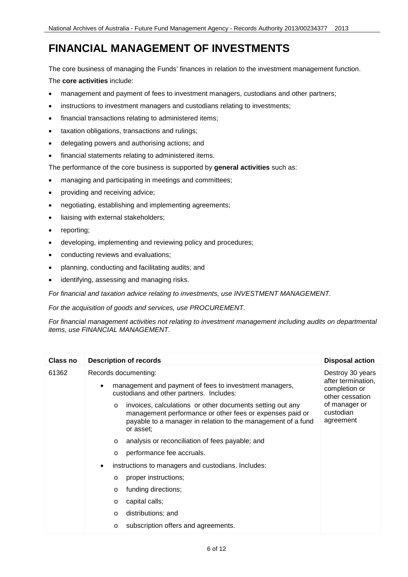# <span id="page-5-0"></span>**FINANCIAL MANAGEMENT OF INVESTMENTS**

The core business of managing the Funds' finances in relation to the investment management function. The **core activities** include:

- management and payment of fees to investment managers, custodians and other partners;
- instructions to investment managers and custodians relating to investments;
- financial transactions relating to administered items;
- taxation obligations, transactions and rulings;
- delegating powers and authorising actions; and
- financial statements relating to administered items.

The performance of the core business is supported by **general activities** such as:

- managing and participating in meetings and committees;
- providing and receiving advice;
- negotiating, establishing and implementing agreements;
- liaising with external stakeholders;
- reporting;
- developing, implementing and reviewing policy and procedures;
- conducting reviews and evaluations;
- planning, conducting and facilitating audits; and
- identifying, assessing and managing risks.

*For financial and taxation advice relating to investments, use INVESTMENT MANAGEMENT.* 

*For the acquisition of goods and services, use PROCUREMENT.*

*For financial management activities not relating to investment management including audits on departmental items, use FINANCIAL MANAGEMENT.*

| Class no | <b>Description of records</b>                                                                                                                                                                                 | <b>Disposal action</b>                                                     |
|----------|---------------------------------------------------------------------------------------------------------------------------------------------------------------------------------------------------------------|----------------------------------------------------------------------------|
| 61362    | Records documenting:                                                                                                                                                                                          | Destroy 30 years<br>after termination,<br>completion or<br>other cessation |
|          | management and payment of fees to investment managers,<br>$\bullet$<br>custodians and other partners. Includes:                                                                                               |                                                                            |
|          | invoices, calculations or other documents setting out any<br>$\circ$<br>management performance or other fees or expenses paid or<br>payable to a manager in relation to the management of a fund<br>or asset: | of manager or<br>custodian<br>agreement                                    |
|          | analysis or reconciliation of fees payable; and<br>$\circ$                                                                                                                                                    |                                                                            |
|          | performance fee accruals.<br>$\circ$                                                                                                                                                                          |                                                                            |
|          | instructions to managers and custodians. Includes:<br>$\bullet$                                                                                                                                               |                                                                            |
|          | proper instructions;<br>$\circ$                                                                                                                                                                               |                                                                            |
|          | funding directions;<br>$\circ$                                                                                                                                                                                |                                                                            |
|          | capital calls;<br>$\circ$                                                                                                                                                                                     |                                                                            |
|          | distributions; and<br>$\circ$                                                                                                                                                                                 |                                                                            |
|          | subscription offers and agreements.<br>$\circ$                                                                                                                                                                |                                                                            |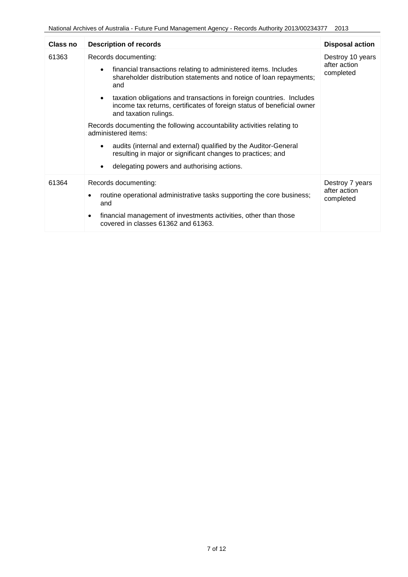| Class no | <b>Description of records</b>                                                                                                                                                                                                                                                                                                                                                                                                                                                                                                                                                                                                                  | <b>Disposal action</b>                        |
|----------|------------------------------------------------------------------------------------------------------------------------------------------------------------------------------------------------------------------------------------------------------------------------------------------------------------------------------------------------------------------------------------------------------------------------------------------------------------------------------------------------------------------------------------------------------------------------------------------------------------------------------------------------|-----------------------------------------------|
| 61363    | Records documenting:<br>financial transactions relating to administered items. Includes<br>$\bullet$<br>shareholder distribution statements and notice of loan repayments;<br>and<br>taxation obligations and transactions in foreign countries. Includes<br>income tax returns, certificates of foreign status of beneficial owner<br>and taxation rulings.<br>Records documenting the following accountability activities relating to<br>administered items:<br>audits (internal and external) qualified by the Auditor-General<br>resulting in major or significant changes to practices; and<br>delegating powers and authorising actions. | Destroy 10 years<br>after action<br>completed |
| 61364    | Records documenting:<br>routine operational administrative tasks supporting the core business;<br>and<br>financial management of investments activities, other than those<br>$\bullet$<br>covered in classes 61362 and 61363.                                                                                                                                                                                                                                                                                                                                                                                                                  | Destroy 7 years<br>after action<br>completed  |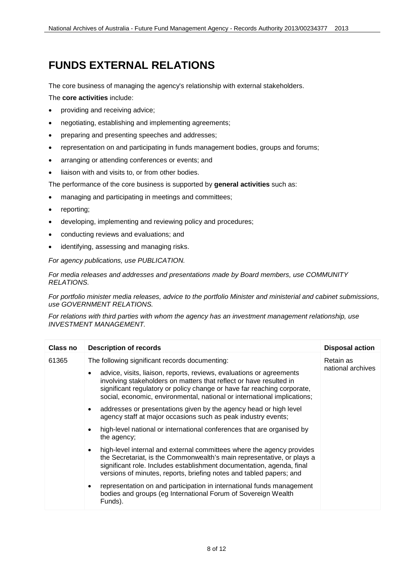## <span id="page-7-0"></span>**FUNDS EXTERNAL RELATIONS**

The core business of managing the agency's relationship with external stakeholders.

The **core activities** include:

- providing and receiving advice;
- negotiating, establishing and implementing agreements;
- preparing and presenting speeches and addresses;
- representation on and participating in funds management bodies, groups and forums;
- arranging or attending conferences or events; and
- liaison with and visits to, or from other bodies.

The performance of the core business is supported by **general activities** such as:

- managing and participating in meetings and committees;
- reporting;
- developing, implementing and reviewing policy and procedures;
- conducting reviews and evaluations; and
- identifying, assessing and managing risks.

*For agency publications, use PUBLICATION.*

*For media releases and addresses and presentations made by Board members, use COMMUNITY RELATIONS.*

*For portfolio minister media releases, advice to the portfolio Minister and ministerial and cabinet submissions, use GOVERNMENT RELATIONS.*

*For relations with third parties with whom the agency has an investment management relationship, use INVESTMENT MANAGEMENT.*

| Class no | <b>Description of records</b>                                                                                                                                                                                                                                                                                | <b>Disposal action</b>         |
|----------|--------------------------------------------------------------------------------------------------------------------------------------------------------------------------------------------------------------------------------------------------------------------------------------------------------------|--------------------------------|
| 61365    | The following significant records documenting:                                                                                                                                                                                                                                                               | Retain as<br>national archives |
|          | advice, visits, liaison, reports, reviews, evaluations or agreements<br>involving stakeholders on matters that reflect or have resulted in<br>significant regulatory or policy change or have far reaching corporate,<br>social, economic, environmental, national or international implications;            |                                |
|          | addresses or presentations given by the agency head or high level<br>agency staff at major occasions such as peak industry events;                                                                                                                                                                           |                                |
|          | high-level national or international conferences that are organised by<br>the agency;                                                                                                                                                                                                                        |                                |
|          | high-level internal and external committees where the agency provides<br>$\bullet$<br>the Secretariat, is the Commonwealth's main representative, or plays a<br>significant role. Includes establishment documentation, agenda, final<br>versions of minutes, reports, briefing notes and tabled papers; and |                                |
|          | representation on and participation in international funds management<br>bodies and groups (eg International Forum of Sovereign Wealth<br>Funds).                                                                                                                                                            |                                |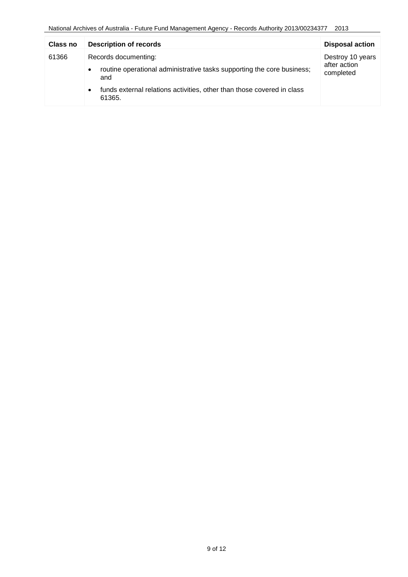| Class no | <b>Description of records</b>                                                                 | <b>Disposal action</b>    |
|----------|-----------------------------------------------------------------------------------------------|---------------------------|
| 61366    | Records documenting:                                                                          | Destroy 10 years          |
|          | routine operational administrative tasks supporting the core business;<br>$\bullet$<br>and    | after action<br>completed |
|          | funds external relations activities, other than those covered in class<br>$\bullet$<br>61365. |                           |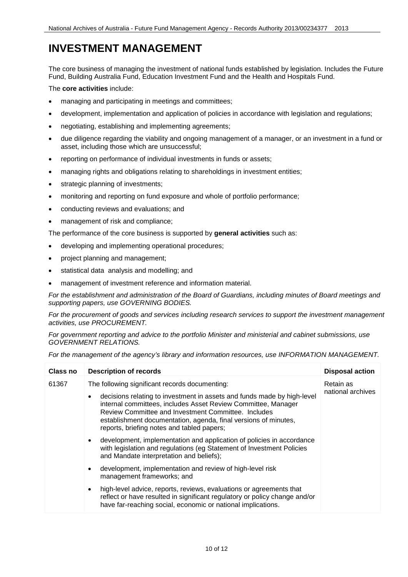## <span id="page-9-0"></span>**INVESTMENT MANAGEMENT**

The core business of managing the investment of national funds established by legislation. Includes the Future Fund, Building Australia Fund, Education Investment Fund and the Health and Hospitals Fund.

#### The **core activities** include:

- managing and participating in meetings and committees;
- development, implementation and application of policies in accordance with legislation and regulations;
- negotiating, establishing and implementing agreements;
- due diligence regarding the viability and ongoing management of a manager, or an investment in a fund or asset, including those which are unsuccessful;
- reporting on performance of individual investments in funds or assets;
- managing rights and obligations relating to shareholdings in investment entities;
- strategic planning of investments;
- monitoring and reporting on fund exposure and whole of portfolio performance;
- conducting reviews and evaluations; and
- management of risk and compliance;

The performance of the core business is supported by **general activities** such as:

- developing and implementing operational procedures;
- project planning and management;
- statistical data analysis and modelling; and
- management of investment reference and information material.

*For the establishment and administration of the Board of Guardians, including minutes of Board meetings and supporting papers, use GOVERNING BODIES.*

*For the procurement of goods and services including research services to support the investment management activities, use PROCUREMENT.*

*For government reporting and advice to the portfolio Minister and ministerial and cabinet submissions, use GOVERNMENT RELATIONS.*

*For the management of the agency's library and information resources, use INFORMATION MANAGEMENT.*

| Class no | <b>Description of records</b>                                                                                                                                                                                                                                                                                    | <b>Disposal action</b>         |
|----------|------------------------------------------------------------------------------------------------------------------------------------------------------------------------------------------------------------------------------------------------------------------------------------------------------------------|--------------------------------|
| 61367    | The following significant records documenting:                                                                                                                                                                                                                                                                   | Retain as<br>national archives |
|          | decisions relating to investment in assets and funds made by high-level<br>internal committees, includes Asset Review Committee, Manager<br>Review Committee and Investment Committee. Includes<br>establishment documentation, agenda, final versions of minutes,<br>reports, briefing notes and tabled papers; |                                |
|          | development, implementation and application of policies in accordance<br>with legislation and regulations (eg Statement of Investment Policies<br>and Mandate interpretation and beliefs);                                                                                                                       |                                |
|          | development, implementation and review of high-level risk<br>management frameworks; and                                                                                                                                                                                                                          |                                |
|          | high-level advice, reports, reviews, evaluations or agreements that<br>reflect or have resulted in significant regulatory or policy change and/or<br>have far-reaching social, economic or national implications.                                                                                                |                                |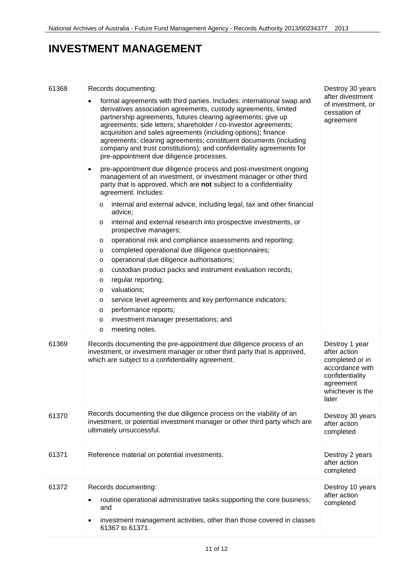## **INVESTMENT MANAGEMENT**

| 61368 | Records documenting:                                                                                                                                                                                                                                                                                                                                                                                                                                                                                                                   | Destroy 30 years                                                                                                                  |
|-------|----------------------------------------------------------------------------------------------------------------------------------------------------------------------------------------------------------------------------------------------------------------------------------------------------------------------------------------------------------------------------------------------------------------------------------------------------------------------------------------------------------------------------------------|-----------------------------------------------------------------------------------------------------------------------------------|
|       | formal agreements with third parties. Includes: international swap and<br>derivatives association agreements, custody agreements, limited<br>partnership agreements, futures clearing agreements; give up<br>agreements; side letters; shareholder / co-investor agreements;<br>acquisition and sales agreements (including options); finance<br>agreements; clearing agreements; constituent documents (including<br>company and trust constitutions); and confidentiality agreements for<br>pre-appointment due diligence processes. | after divestment<br>of investment, or<br>cessation of<br>agreement                                                                |
|       | pre-appointment due diligence process and post-investment ongoing<br>$\bullet$<br>management of an investment, or investment manager or other third<br>party that is approved, which are not subject to a confidentiality<br>agreement. Includes:                                                                                                                                                                                                                                                                                      |                                                                                                                                   |
|       | internal and external advice, including legal, tax and other financial<br>$\circ$<br>advice;                                                                                                                                                                                                                                                                                                                                                                                                                                           |                                                                                                                                   |
|       | internal and external research into prospective investments, or<br>$\circ$<br>prospective managers;                                                                                                                                                                                                                                                                                                                                                                                                                                    |                                                                                                                                   |
|       | operational risk and compliance assessments and reporting;<br>O<br>completed operational due diligence questionnaires;<br>$\circ$                                                                                                                                                                                                                                                                                                                                                                                                      |                                                                                                                                   |
|       | operational due diligence authorisations;<br>O<br>custodian product packs and instrument evaluation records;<br>O<br>regular reporting;<br>$\circ$<br>valuations;<br>$\circ$<br>service level agreements and key performance indicators;<br>$\circ$<br>performance reports;<br>$\circ$                                                                                                                                                                                                                                                 |                                                                                                                                   |
|       | investment manager presentations; and<br>O<br>meeting notes.<br>$\circ$                                                                                                                                                                                                                                                                                                                                                                                                                                                                |                                                                                                                                   |
| 61369 | Records documenting the pre-appointment due diligence process of an<br>investment, or investment manager or other third party that is approved,<br>which are subject to a confidentiality agreement.                                                                                                                                                                                                                                                                                                                                   | Destroy 1 year<br>after action<br>completed or in<br>accordance with<br>confidentiality<br>agreement<br>whichever is the<br>later |
| 61370 | Records documenting the due diligence process on the viability of an<br>investment, or potential investment manager or other third party which are<br>ultimately unsuccessful.                                                                                                                                                                                                                                                                                                                                                         | Destroy 30 years<br>after action<br>completed                                                                                     |
| 61371 | Reference material on potential investments.                                                                                                                                                                                                                                                                                                                                                                                                                                                                                           | Destroy 2 years<br>after action<br>completed                                                                                      |
| 61372 | Records documenting:                                                                                                                                                                                                                                                                                                                                                                                                                                                                                                                   | Destroy 10 years<br>after action                                                                                                  |
|       | routine operational administrative tasks supporting the core business;<br>and                                                                                                                                                                                                                                                                                                                                                                                                                                                          | completed                                                                                                                         |
|       | investment management activities, other than those covered in classes<br>61367 to 61371.                                                                                                                                                                                                                                                                                                                                                                                                                                               |                                                                                                                                   |